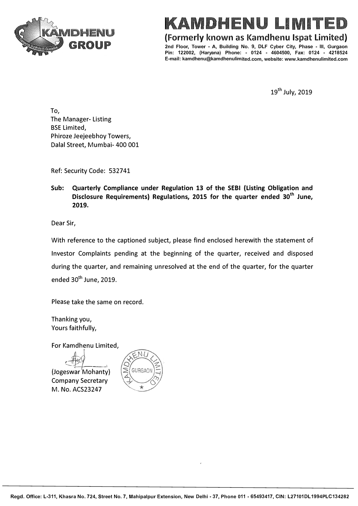

## **KAMDHENU LIMIT**

**(Formerly known as Kamdhenu lspat Limited)** 

**2nd Floor, Tower - A, Building No. 9, DLF Cyber City, Phase - Ill, Gurgaon Pin: 122002, (Haryana) Phone: - 0124 - 4604500, Fax: 0124 - 4218524 E-mail: kamdhenu@kamdhenulimited.com, website: www.kamdhenulimited.com** 

19<sup>th</sup> July, 2019

To, The Manager- Listing BSE Limited, Phiroze Jeejeebhoy Towers, Dalal Street, Mumbai- 400 001

Ref: Security Code: 532741

**Sub: Quarterly Compliance under Regulation 13 of the SEBI (Listing Obligation and Disclosure Requirements) Regulations, 2015 for the quarter ended 30th June, 2019.** 

Dear Sir,

With reference to the captioned subject, please find enclosed herewith the statement of Investor Complaints pending at the beginning of the quarter, received and disposed during the quarter, and remaining unresolved at the end of the quarter, for the quarter ended 30<sup>th</sup> June, 2019.

Please take the same on record.

Thanking you, Yours faithfully,

For Kamdhenu Limited,

(Jogeswar Mohanty)

Company Secretary M. No. ACS23247